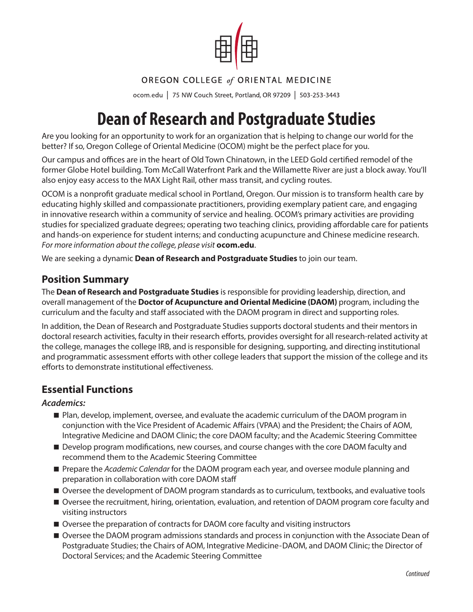

## OREGON COLLEGE of ORIENTAL MEDICINE

ocom.edu | 75 NW Couch Street, Portland, OR 97209 | 503-253-3443

# Dean of Research and Postgraduate Studies

Are you looking for an opportunity to work for an organization that is helping to change our world for the better? If so, Oregon College of Oriental Medicine (OCOM) might be the perfect place for you.

Our campus and offices are in the heart of Old Town Chinatown, in the LEED Gold certified remodel of the former Globe Hotel building. Tom McCall Waterfront Park and the Willamette River are just a block away. You'll also enjoy easy access to the MAX Light Rail, other mass transit, and cycling routes.

OCOM is a nonprofit graduate medical school in Portland, Oregon. Our mission is to transform health care by educating highly skilled and compassionate practitioners, providing exemplary patient care, and engaging in innovative research within a community of service and healing. OCOM's primary activities are providing studies for specialized graduate degrees; operating two teaching clinics, providing affordable care for patients and hands-on experience for student interns; and conducting acupuncture and Chinese medicine research. *For more information about the college, please visit* **[ocom.edu](http://www.ocom.edu)**.

We are seeking a dynamic **Dean of Research and Postgraduate Studies** to join our team.

# **Position Summary**

The **Dean of Research and Postgraduate Studies** is responsible for providing leadership, direction, and overall management of the **Doctor of Acupuncture and Oriental Medicine (DAOM)** program, including the curriculum and the faculty and staff associated with the DAOM program in direct and supporting roles.

In addition, the Dean of Research and Postgraduate Studies supports doctoral students and their mentors in doctoral research activities, faculty in their research efforts, provides oversight for all research-related activity at the college, manages the college IRB, and is responsible for designing, supporting, and directing institutional and programmatic assessment efforts with other college leaders that support the mission of the college and its efforts to demonstrate institutional effectiveness.

## **Essential Functions**

#### *Academics:*

- **Plan, develop, implement, oversee, and evaluate the academic curriculum of the DAOM program in** conjunction with the Vice President of Academic Affairs (VPAA) and the President; the Chairs of AOM, Integrative Medicine and DAOM Clinic; the core DAOM faculty; and the Academic Steering Committee
- Develop program modifications, new courses, and course changes with the core DAOM faculty and recommend them to the Academic Steering Committee
- Prepare the *Academic Calendar* for the DAOM program each year, and oversee module planning and preparation in collaboration with core DAOM staff
- Oversee the development of DAOM program standards as to curriculum, textbooks, and evaluative tools
- Oversee the recruitment, hiring, orientation, evaluation, and retention of DAOM program core faculty and visiting instructors
- Oversee the preparation of contracts for DAOM core faculty and visiting instructors
- Oversee the DAOM program admissions standards and process in conjunction with the Associate Dean of Postgraduate Studies; the Chairs of AOM, Integrative Medicine-DAOM, and DAOM Clinic; the Director of Doctoral Services; and the Academic Steering Committee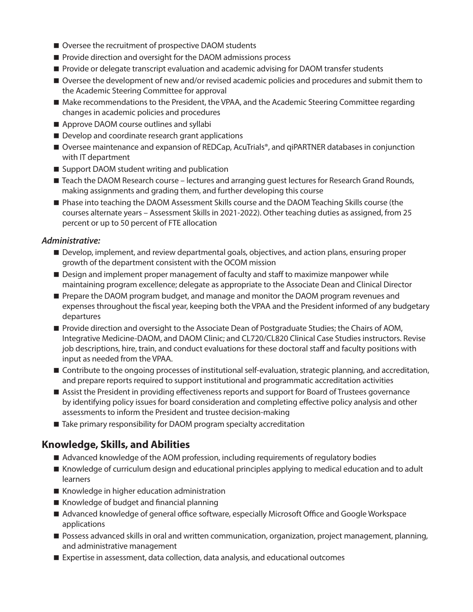- Oversee the recruitment of prospective DAOM students
- **Provide direction and oversight for the DAOM admissions process**
- **Provide or delegate transcript evaluation and academic advising for DAOM transfer students**
- Oversee the development of new and/or revised academic policies and procedures and submit them to the Academic Steering Committee for approval
- Make recommendations to the President, the VPAA, and the Academic Steering Committee regarding changes in academic policies and procedures
- Approve DAOM course outlines and syllabi
- Develop and coordinate research grant applications
- Oversee maintenance and expansion of REDCap, AcuTrials®, and qiPARTNER databases in conjunction with IT department
- Support DAOM student writing and publication
- Teach the DAOM Research course lectures and arranging quest lectures for Research Grand Rounds, making assignments and grading them, and further developing this course
- **Phase into teaching the DAOM Assessment Skills course and the DAOM Teaching Skills course (the** courses alternate years – Assessment Skills in 2021-2022). Other teaching duties as assigned, from 25 percent or up to 50 percent of FTE allocation

#### *Administrative:*

- **Develop, implement, and review departmental goals, objectives, and action plans, ensuring proper** growth of the department consistent with the OCOM mission
- **Design and implement proper management of faculty and staff to maximize manpower while** maintaining program excellence; delegate as appropriate to the Associate Dean and Clinical Director
- **Prepare the DAOM program budget, and manage and monitor the DAOM program revenues and** expenses throughout the fiscal year, keeping both the VPAA and the President informed of any budgetary departures
- **Provide direction and oversight to the Associate Dean of Postgraduate Studies; the Chairs of AOM,** Integrative Medicine-DAOM, and DAOM Clinic; and CL720/CL820 Clinical Case Studies instructors. Revise job descriptions, hire, train, and conduct evaluations for these doctoral staff and faculty positions with input as needed from the VPAA.
- Contribute to the ongoing processes of institutional self-evaluation, strategic planning, and accreditation, and prepare reports required to support institutional and programmatic accreditation activities
- Assist the President in providing effectiveness reports and support for Board of Trustees governance by identifying policy issues for board consideration and completing effective policy analysis and other assessments to inform the President and trustee decision-making
- Take primary responsibility for DAOM program specialty accreditation

## **Knowledge, Skills, and Abilities**

- Advanced knowledge of the AOM profession, including requirements of regulatory bodies
- Knowledge of curriculum design and educational principles applying to medical education and to adult learners
- Knowledge in higher education administration
- $\blacksquare$  Knowledge of budget and financial planning
- Advanced knowledge of general office software, especially Microsoft Office and Google Workspace applications
- **Possess advanced skills in oral and written communication, organization, project management, planning,** and administrative management
- Expertise in assessment, data collection, data analysis, and educational outcomes